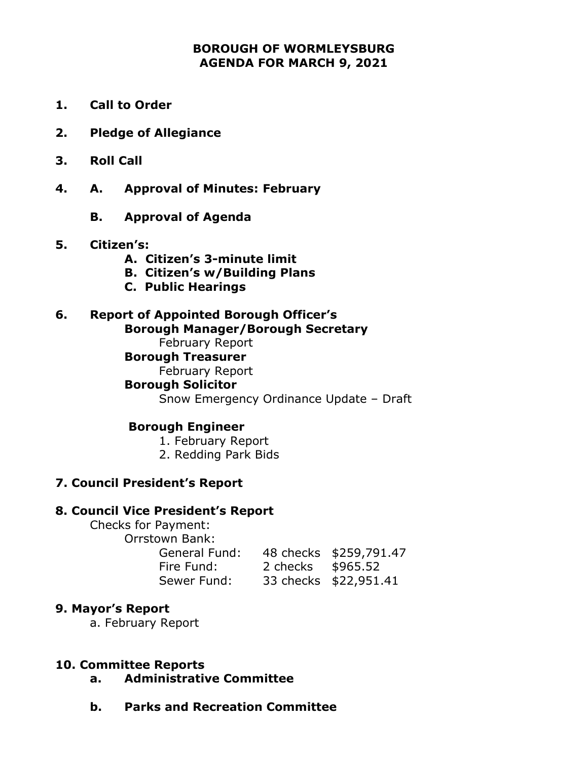## **BOROUGH OF WORMLEYSBURG AGENDA FOR MARCH 9, 2021**

- **1. Call to Order**
- **2. Pledge of Allegiance**
- **3. Roll Call**
- **4. A. Approval of Minutes: February**
	- **B. Approval of Agenda**

#### **5. Citizen's:**

- **A. Citizen's 3-minute limit**
- **B. Citizen's w/Building Plans**
- **C. Public Hearings**

# **6. Report of Appointed Borough Officer's**

## **Borough Manager/Borough Secretary**

February Report

## **Borough Treasurer**

February Report

#### **Borough Solicitor**

Snow Emergency Ordinance Update – Draft

#### **Borough Engineer**

1. February Report

2. Redding Park Bids

## **7. Council President's Report**

#### **8. Council Vice President's Report**

Checks for Payment: Orrstown Bank:

General Fund: 48 checks \$259,791.47 Fire Fund: 2 checks \$965.52 Sewer Fund: 33 checks \$22,951.41

#### **9. Mayor's Report**

a. February Report

#### **10. Committee Reports**

- **a. Administrative Committee**
- **b. Parks and Recreation Committee**